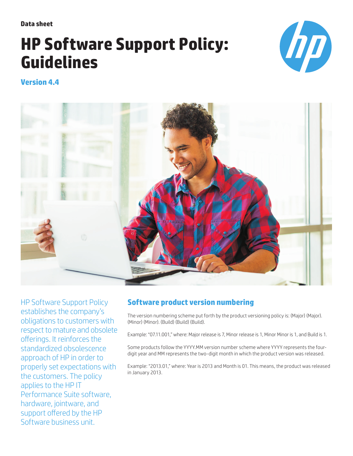**Data sheet**

# **HP Software Support Policy: Guidelines**



# **Version 4.4**



HP Software Support Policy establishes the company's obligations to customers with respect to mature and obsolete offerings. It reinforces the standardized obsolescence approach of HP in order to properly set expectations with the customers. The policy applies to the HP IT Performance Suite software, hardware, jointware, and support offered by the HP Software business unit.

# <span id="page-0-0"></span>**Software product version numbering**

The version numbering scheme put forth by the product versioning policy is: (Major) (Major). (Minor) (Minor). (Build) (Build) (Build).

Example: "07.11.001," where: Major release is 7, Minor release is 1, Minor Minor is 1, and Build is 1.

Some products follow the YYYY.MM version number scheme where YYYY represents the fourdigit year and MM represents the two-digit month in which the product version was released.

Example: "2013.01," where: Year is 2013 and Month is 01. This means, the product was released in January 2013.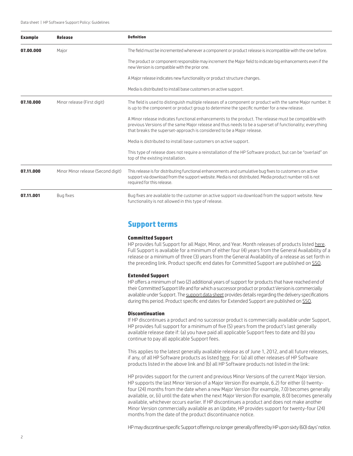| <b>Example</b>                      | <b>Release</b>                     | <b>Definition</b>                                                                                                                                                                                                                                                                           |  |
|-------------------------------------|------------------------------------|---------------------------------------------------------------------------------------------------------------------------------------------------------------------------------------------------------------------------------------------------------------------------------------------|--|
| 07.00.000                           | Major                              | The field must be incremented whenever a component or product release is incompatible with the one before.                                                                                                                                                                                  |  |
|                                     |                                    | The product or component responsible may increment the Major field to indicate big enhancements even if the<br>new Version is compatible with the prior one.                                                                                                                                |  |
|                                     |                                    | A Major release indicates new functionality or product structure changes.                                                                                                                                                                                                                   |  |
|                                     |                                    | Media is distributed to install base customers on active support.                                                                                                                                                                                                                           |  |
| 07.10.000<br>07.11.000<br>07.11.001 | Minor release (First digit)        | The field is used to distinguish multiple releases of a component or product with the same Major number. It<br>is up to the component or product group to determine the specific number for a new release.                                                                                  |  |
|                                     |                                    | A Minor release indicates functional enhancements to the product. The release must be compatible with<br>previous Versions of the same Major release and thus needs to be a superset of functionality; everything<br>that breaks the superset-approach is considered to be a Major release. |  |
|                                     |                                    | Media is distributed to install base customers on active support.                                                                                                                                                                                                                           |  |
|                                     |                                    | This type of release does not require a reinstallation of the HP Software product, but can be "overlaid" on<br>top of the existing installation.                                                                                                                                            |  |
|                                     | Minor Minor release (Second digit) | This release is for distributing functional enhancements and cumulative bug fixes to customers on active<br>support via download from the support website. Media is not distributed. Media product number roll is not<br>required for this release.                                         |  |
|                                     | Bug fixes                          | Bug fixes are available to the customer on active support via download from the support website. New<br>functionality is not allowed in this type of release.                                                                                                                               |  |

## **Support terms**

#### **Committed Support**

HP provides full Support for all Major, Minor, and Year. Month releases of products listed [here](http://support.openview.hp.com/pdf/hpsw_products_support_policy.pdf). Full Support is available for a minimum of either four (4) years from the General Availability of a release or a minimum of three (3) years from the General Availability of a release as set forth in the preceding link. Product specific end dates for Committed Support are published on [SSO](http://support.openview.hp.com/encore/products.jsp).

#### **Extended Support**

HP offers a minimum of two (2) additional years of support for products that have reached end of their Committed Support life and for which a successor product or product Version is commercially available under Support. The [support data sheet](http://support.openview.hp.com/support_options.jsp) provides details regarding the delivery specifications during this period. Product specific end dates for Extended Support are published on [SSO](http://support.openview.hp.com/encore/products.jsp).

## **Discontinuation**

If HP discontinues a product and no successor product is commercially available under Support, HP provides full support for a minimum of five (5) years from the product's last generally available release date if: (a) you have paid all applicable Support fees to date and (b) you continue to pay all applicable Support fees.

This applies to the latest generally available release as of June 1, 2012, and all future releases, if any, of all HP Software products as listed [here](http://support.openview.hp.com/pdf/hpsw_products_support_policy.pdf). For: (a) all other releases of HP Software products listed in the above link and (b) all HP Software products not listed in the link:

HP provides support for the current and previous Minor Versions of the current Major Version. HP supports the last Minor Version of a Major Version (for example, 6.2) for either (i) twentyfour (24) months from the date when a new Major Version (for example, 7.0) becomes generally available, or, (ii) until the date when the next Major Version (for example, 8.0) becomes generally available, whichever occurs earlier. If HP discontinues a product and does not make another Minor Version commercially available as an Update, HP provides support for twenty-four (24) months from the date of the product discontinuance notice.

HP may discontinue specific Support offerings no longer generally offered by HP upon sixty (60) days' notice.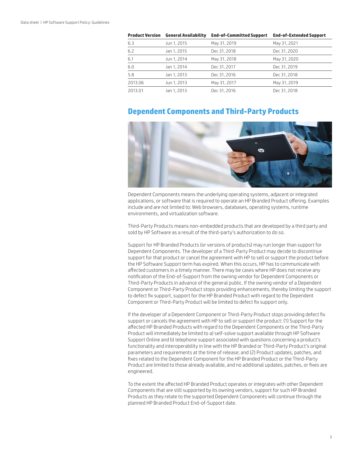| <b>Product Version</b> | <b>General Availability</b> | <b>End-of-Committed Support</b> | <b>End-of-Extended Support</b> |
|------------------------|-----------------------------|---------------------------------|--------------------------------|
| 6.3                    | Jun 1, 2015                 | May 31, 2019                    | May 31, 2021                   |
| 6.2                    | Jan 1, 2015                 | Dec 31, 2018                    | Dec 31, 2020                   |
| 6.1                    | Jun 1, 2014                 | May 31, 2018                    | May 31, 2020                   |
| 6.0                    | Jan 1, 2014                 | Dec 31, 2017                    | Dec 31, 2019                   |
| 5.8                    | Jan 1, 2013                 | Dec 31, 2016                    | Dec 31, 2018                   |
| 2013.06                | Jun 1, 2013                 | May 31, 2017                    | May 31, 2019                   |
| 2013.01                | Jan 1, 2013                 | Dec 31, 2016                    | Dec 31, 2018                   |

# **Dependent Components and Third-Party Products**



Dependent Components means the underlying operating systems, adjacent or integrated applications, or software that is required to operate an HP Branded Product offering. Examples include and are not limited to: Web browsers, databases, operating systems, runtime environments, and virtualization software.

Third-Party Products means non-embedded products that are developed by a third party and sold by HP Software as a result of the third-party's authorization to do so.

Support for HP Branded Products (or versions of products) may run longer than support for Dependent Components. The developer of a Third-Party Product may decide to discontinue support for that product or cancel the agreement with HP to sell or support the product before the HP Software Support term has expired. When this occurs, HP has to communicate with affected customers in a timely manner. There may be cases where HP does not receive any notification of the End-of-Support from the owning vendor for Dependent Components or Third-Party Products in advance of the general public. If the owning vendor of a Dependent Component or Third-Party Product stops providing enhancements, thereby limiting the support to defect fix support, support for the HP Branded Product with regard to the Dependent Component or Third-Party Product will be limited to defect fix support only.

If the developer of a Dependent Component or Third-Party Product stops providing defect fix support or cancels the agreement with HP to sell or support the product: (1) Support for the affected HP Branded Products with regard to the Dependent Components or the Third-Party Product will immediately be limited to a) self-solve support available through HP Software Support Online and b) telephone support associated with questions concerning a product's functionality and interoperability in line with the HP Branded or Third-Party Product's original parameters and requirements at the time of release; and (2) Product updates, patches, and fixes related to the Dependent Component for the HP Branded Product or the Third-Party Product are limited to those already available, and no additional updates, patches, or fixes are engineered.

To the extent the affected HP Branded Product operates or integrates with other Dependent Components that are still supported by its owning vendors, support for such HP Branded Products as they relate to the supported Dependent Components will continue through the planned HP Branded Product End-of-Support date.